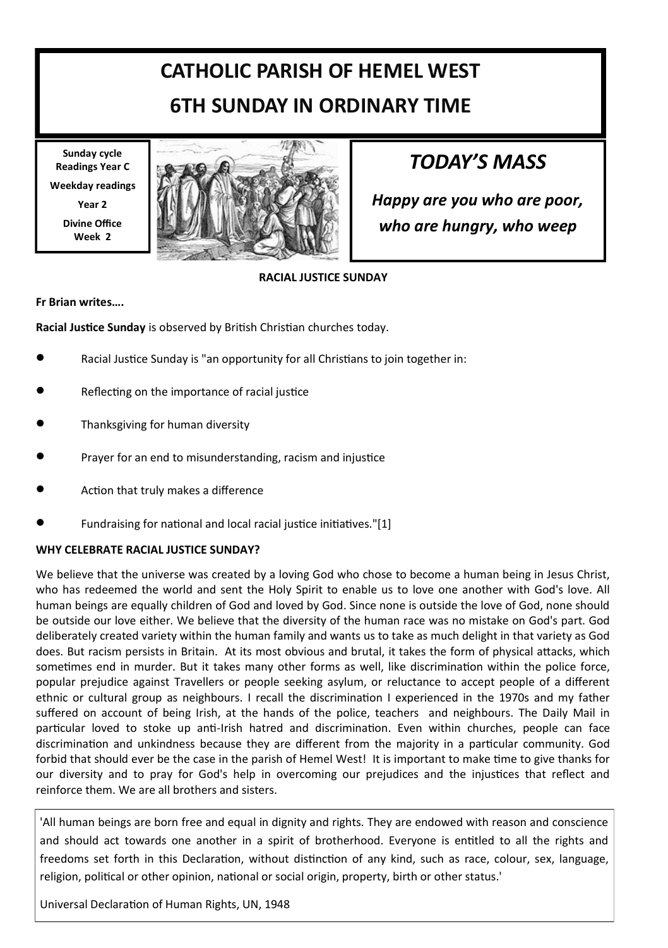# **CATHOLIC PARISH OF HEMEL WEST 6TH SUNDAY IN ORDINARY TIME**

**Sunday cycle Readings Year C Weekday readings Year 2 Divine Office Week 2**



## *TODAY'S MASS*

*Happy are you who are poor, who are hungry, who weep*

#### **RACIAL JUSTICE SUNDAY**

#### **Fr Brian writes….**

**Racial Justice Sunday** is observed by British Christian churches today.

- Racial Justice Sunday is "an opportunity for all Christians to join together in:
- Reflecting on the importance of racial justice
- Thanksgiving for human diversity
- Prayer for an end to misunderstanding, racism and injustice
- Action that truly makes a difference
- Fundraising for national and local racial justice initiatives."[1]

#### **WHY CELEBRATE RACIAL JUSTICE SUNDAY?**

We believe that the universe was created by a loving God who chose to become a human being in Jesus Christ, who has redeemed the world and sent the Holy Spirit to enable us to love one another with God's love. All human beings are equally children of God and loved by God. Since none is outside the love of God, none should be outside our love either. We believe that the diversity of the human race was no mistake on God's part. God deliberately created variety within the human family and wants us to take as much delight in that variety as God does. But racism persists in Britain. At its most obvious and brutal, it takes the form of physical attacks, which sometimes end in murder. But it takes many other forms as well, like discrimination within the police force, popular prejudice against Travellers or people seeking asylum, or reluctance to accept people of a different ethnic or cultural group as neighbours. I recall the discrimination I experienced in the 1970s and my father suffered on account of being Irish, at the hands of the police, teachers and neighbours. The Daily Mail in particular loved to stoke up anti-Irish hatred and discrimination. Even within churches, people can face discrimination and unkindness because they are different from the majority in a particular community. God forbid that should ever be the case in the parish of Hemel West! It is important to make time to give thanks for our diversity and to pray for God's help in overcoming our prejudices and the injustices that reflect and reinforce them. We are all brothers and sisters.

'All human beings are born free and equal in dignity and rights. They are endowed with reason and conscience and should act towards one another in a spirit of brotherhood. Everyone is entitled to all the rights and freedoms set forth in this Declaration, without distinction of any kind, such as race, colour, sex, language, religion, political or other opinion, national or social origin, property, birth or other status.'

Universal Declaration of Human Rights, UN, 1948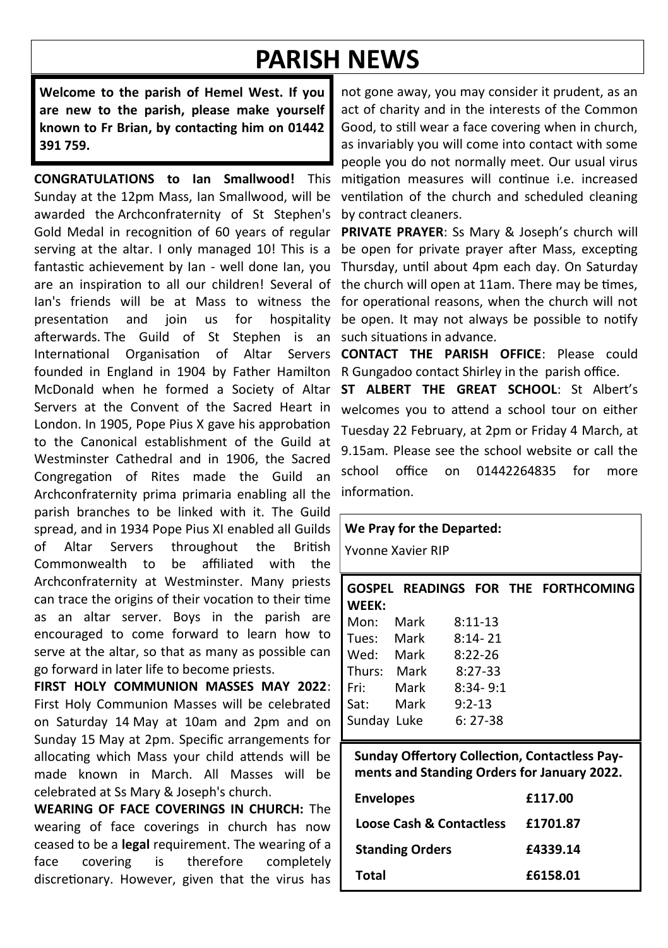# **PARISH NEWS**

**Welcome to the parish of Hemel West. If you are new to the parish, please make yourself known to Fr Brian, by contacting him on 01442 391 759.**

**CONGRATULATIONS to Ian Smallwood!** This Sunday at the 12pm Mass, Ian Smallwood, will be awarded the Archconfraternity of St Stephen's Gold Medal in recognition of 60 years of regular serving at the altar. I only managed 10! This is a fantastic achievement by Ian - well done Ian, you Thursday, until about 4pm each day. On Saturday are an inspiration to all our children! Several of Ian's friends will be at Mass to witness the presentation and join us for hospitality afterwards. The Guild of St Stephen is an International Organisation of Altar Servers founded in England in 1904 by Father Hamilton McDonald when he formed a Society of Altar Servers at the Convent of the Sacred Heart in London. In 1905, Pope Pius X gave his approbation to the Canonical establishment of the Guild at Westminster Cathedral and in 1906, the Sacred Congregation of Rites made the Guild an Archconfraternity prima primaria enabling all the parish branches to be linked with it. The Guild spread, and in 1934 Pope Pius XI enabled all Guilds of Altar Servers throughout the British Commonwealth to be affiliated with the Archconfraternity at Westminster. Many priests can trace the origins of their vocation to their time as an altar server. Boys in the parish are encouraged to come forward to learn how to serve at the altar, so that as many as possible can go forward in later life to become priests.

**FIRST HOLY COMMUNION MASSES MAY 2022**: First Holy Communion Masses will be celebrated on Saturday 14 May at 10am and 2pm and on Sunday 15 May at 2pm. Specific arrangements for allocating which Mass your child attends will be made known in March. All Masses will be celebrated at Ss Mary & Joseph's church.

**WEARING OF FACE COVERINGS IN CHURCH:** The wearing of face coverings in church has now ceased to be a **legal** requirement. The wearing of a face covering is therefore completely discretionary. However, given that the virus has

not gone away, you may consider it prudent, as an act of charity and in the interests of the Common Good, to still wear a face covering when in church, as invariably you will come into contact with some people you do not normally meet. Our usual virus mitigation measures will continue i.e. increased ventilation of the church and scheduled cleaning by contract cleaners.

**PRIVATE PRAYER**: Ss Mary & Joseph's church will be open for private prayer after Mass, excepting the church will open at 11am. There may be times, for operational reasons, when the church will not be open. It may not always be possible to notify such situations in advance.

**CONTACT THE PARISH OFFICE**: Please could R Gungadoo contact Shirley in the parish office.

**ST ALBERT THE GREAT SCHOOL**: St Albert's welcomes you to attend a school tour on either Tuesday 22 February, at 2pm or Friday 4 March, at 9.15am. Please see the school website or call the school office on 01442264835 for more information.

#### **We Pray for the Departed:**

Yvonne Xavier RIP

| <b>WEEK:</b> |                    |              | GOSPEL READINGS FOR THE FORTHCOMING |
|--------------|--------------------|--------------|-------------------------------------|
| Mon:         | Mark               | $8:11-13$    |                                     |
|              | Tues: Mark 8:14-21 |              |                                     |
| Wed: Mark    |                    | 8:22-26      |                                     |
| Thurs: Mark  |                    | 8:27-33      |                                     |
| Fri: Mark    |                    | $8:34 - 9:1$ |                                     |
| Sat:         | Mark               | $9:2-13$     |                                     |
| Sunday Luke  |                    | 6: 27-38     |                                     |
|              |                    |              |                                     |

**Sunday Offertory Collection, Contactless Payments and Standing Orders for January 2022.**

| <b>Envelopes</b>         | £117.00  |
|--------------------------|----------|
| Loose Cash & Contactless | £1701.87 |
| <b>Standing Orders</b>   | £4339.14 |
| Total                    | £6158.01 |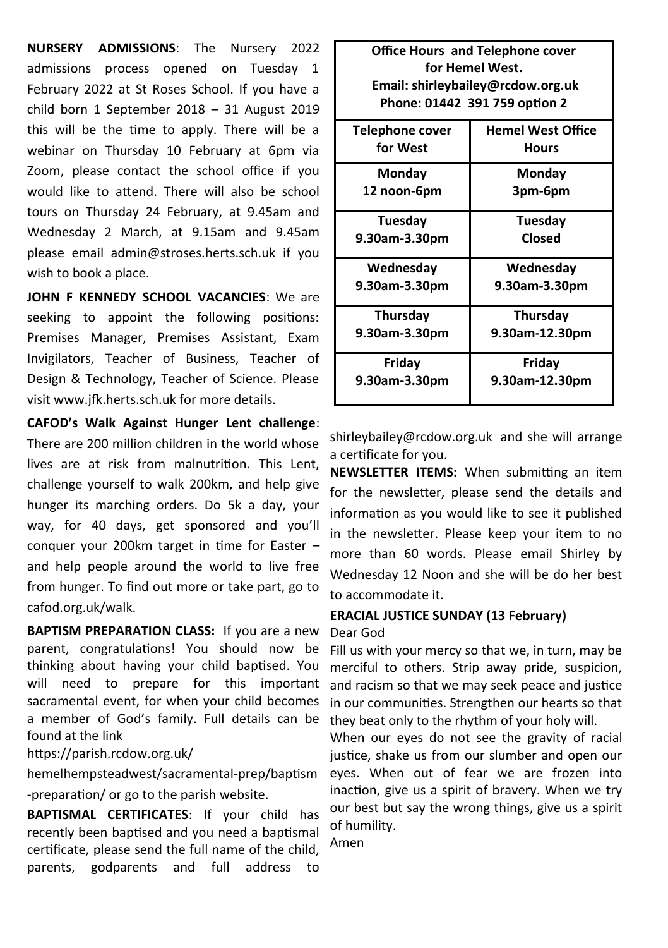**NURSERY ADMISSIONS**: The Nursery 2022 admissions process opened on Tuesday 1 February 2022 at St Roses School. If you have a child born 1 September 2018 – 31 August 2019 this will be the time to apply. There will be a webinar on Thursday 10 February at 6pm via Zoom, please contact the school office if you would like to attend. There will also be school tours on Thursday 24 February, at 9.45am and Wednesday 2 March, at 9.15am and 9.45am please email admin@stroses.herts.sch.uk if you wish to book a place.

**JOHN F KENNEDY SCHOOL VACANCIES**: We are seeking to appoint the following positions: Premises Manager, Premises Assistant, Exam Invigilators, Teacher of Business, Teacher of Design & Technology, Teacher of Science. Please visit www.jfk.herts.sch.uk for more details.

**CAFOD's Walk Against Hunger Lent challenge**:

There are 200 million children in the world whose lives are at risk from malnutrition. This Lent, challenge yourself to walk 200km, and help give hunger its marching orders. Do 5k a day, your way, for 40 days, get sponsored and you'll conquer your 200km target in time for Easter – and help people around the world to live free from hunger. To find out more or take part, go to cafod.org.uk/walk.

**BAPTISM PREPARATION CLASS:** If you are a new parent, congratulations! You should now be thinking about having your child baptised. You will need to prepare for this important sacramental event, for when your child becomes a member of God's family. Full details can be found at the link

#### https://parish.rcdow.org.uk/

hemelhempsteadwest/sacramental-prep/baptism -preparation/ or go to the parish website.

**BAPTISMAL CERTIFICATES**: If your child has recently been baptised and you need a baptismal certificate, please send the full name of the child, parents, godparents and full address to

| <b>Office Hours and Telephone cover</b> |                          |  |  |  |  |
|-----------------------------------------|--------------------------|--|--|--|--|
| for Hemel West.                         |                          |  |  |  |  |
| Email: shirleybailey@rcdow.org.uk       |                          |  |  |  |  |
| Phone: 01442 391 759 option 2           |                          |  |  |  |  |
| Telephone cover                         | <b>Hemel West Office</b> |  |  |  |  |
| for West                                | <b>Hours</b>             |  |  |  |  |
| Monday                                  | Monday                   |  |  |  |  |
| 12 noon-6pm                             | 3pm-6pm                  |  |  |  |  |
| Tuesday                                 | Tuesday                  |  |  |  |  |
| 9.30am-3.30pm                           | Closed                   |  |  |  |  |
| Wednesday                               | Wednesday                |  |  |  |  |
| 9.30am-3.30pm                           | 9.30am-3.30pm            |  |  |  |  |
| Thursday                                | Thursday                 |  |  |  |  |
| 9.30am-3.30pm                           | 9.30am-12.30pm           |  |  |  |  |
| Friday                                  | Friday                   |  |  |  |  |
| 9.30am-3.30pm                           | 9.30am-12.30pm           |  |  |  |  |

shirleybailey@rcdow.org.uk and she will arrange a certificate for you.

**NEWSLETTER ITEMS:** When submitting an item for the newsletter, please send the details and information as you would like to see it published in the newsletter. Please keep your item to no more than 60 words. Please email Shirley by Wednesday 12 Noon and she will be do her best to accommodate it.

#### **ERACIAL JUSTICE SUNDAY (13 February)**

#### Dear God

Fill us with your mercy so that we, in turn, may be merciful to others. Strip away pride, suspicion, and racism so that we may seek peace and justice in our communities. Strengthen our hearts so that they beat only to the rhythm of your holy will.

When our eyes do not see the gravity of racial justice, shake us from our slumber and open our eyes. When out of fear we are frozen into inaction, give us a spirit of bravery. When we try our best but say the wrong things, give us a spirit of humility.

Amen